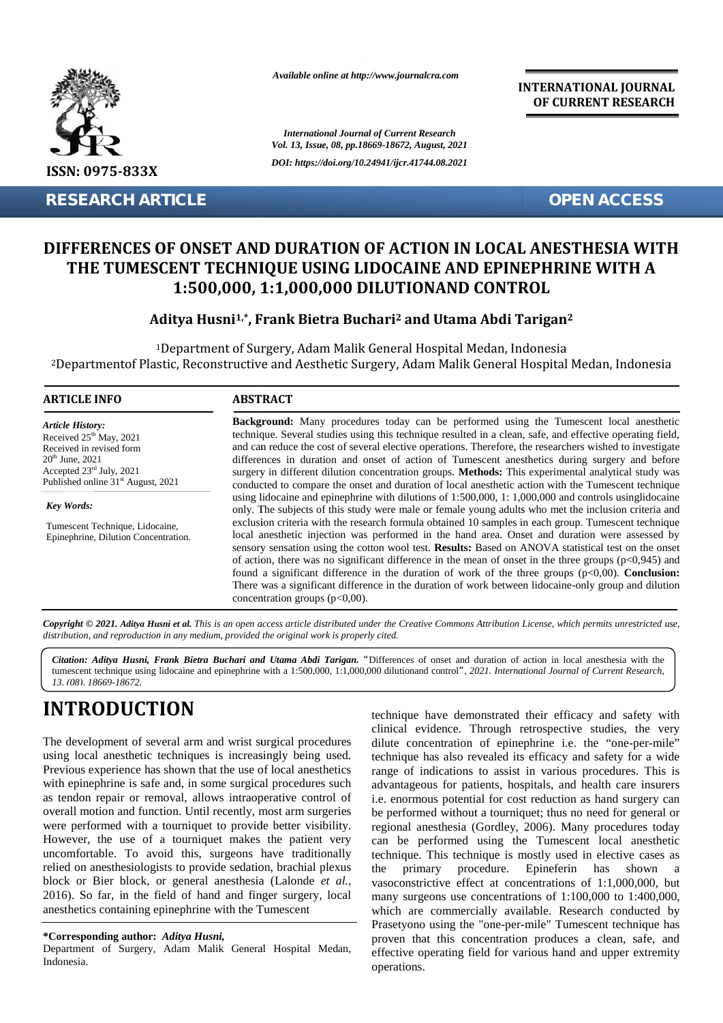

**RESEARCH ARTICLE OPEN ACCESS**

*Available online at http://www.journalcra.com*

*International Journal of Current Research Vol. 13, Issue, 08, pp.18669-18672, August, 2021 DOI: https://doi.org/10.24941/ijcr.41744.08.2021* **INTERNATIONAL JOURNAL OF CURRENT RESEARCH**

## **DIFFERENCES OF ONSET AND DURATION OF ACTION IN LOCAL ANESTHESIA WITH THE TUMESCENT TECHNIQUE USING LIDOCAINE AND EPINEPHRINE WITH A** <sup>;</sup> ONSET AND DURATION OF ACTION IN LOCAL ANESTHESI<br>ENT TECHNIQUE USING LIDOCAINE AND EPINEPHRINE WI<br>1:500,000, 1:1,000,000 DILUTIONAND CONTROL

#### **Aditya Husni1,\*, Frank Bietra Buchari<sup>2</sup> and Utama Abdi Tarigan<sup>2</sup> , Utama Abdi**

<sup>1</sup>Department of Surgery, Adam Malik General Hospital Medan, Indonesia 1Department of Surgery, Adam Malik General Hospital Medan, Indonesia<br>Departmentof Plastic, Reconstructive and Aesthetic Surgery, Adam Malik General Hospital Medan, Indonesia?

# **ARTICLE INFO ABSTRACT ARTICLE ABSTRACTBackground:** Many procedures today can be performed using the Tumescent local anesthetic technique. Several studies using this technique resulted in a clean, safe, and effective operating field, and can reduce the cost of several elective operations. Therefore, the researchers wished to investigate differences in duration and onset of action of Tumescent anesthetics during surgery and before surgery in different dilution concentration groups. **Methods:** This experimental analytical study was conducted to compare the onset and duration of local anesthetic action with the Tumescent technique using lidocaine and epinephrine with dilutions of 1:500,000, 1: 1,000,000 and controls usinglidocaine only. The subjects of this study were male or female young adults who met the inclusion criteria and exclusion criteria with the research formula obtained 10 samples in each group. Tumescent technique local anesthetic injection was performed in the hand area. Onset and duration were assessed by sensory sensation using the cotton wool test. **Results:** Based on ANOVA statistical test on the onset of action, there was no significant difference in the mean of onset in the three groups  $(p<0.945)$  and found a significant difference in the duration of work of the three groups (p<0,00). **Conclusion:** There was a significant difference in the duration of work between lidocaine-only group and dilution concentration groups  $(p<0,00)$ . *Article History:* Received  $25<sup>th</sup>$  May, 2021 Received  $25$  May,  $2021$ <br>Received in revised form 20th June, 2021 Accepted  $23^{\text{rd}}$  July,  $2021$ Published online 31<sup>st</sup> August, 2021 *Key Words:* Tumescent Technique, Lidocaine, Epinephrine, Dilution Concentration. **Background:** Many procedures today can be performed using the Tumescent local anes<br>technique. Several studies using this technique resulted in a clean, safe, and effective operating<br>and can reduce the cost of several elec of action, there was no significant difference in the mean of onset in the three groups (p<0,945) found a significant difference in the duration of work of the three groups (p<0,00). **Conclus** There was a significant diff **33X**<br> **SALUSE THE CONFIGURE CONFIGURE CONFIGURE CONFIGURE CONFIGURE CONFIGURE CONFIGURE CONFIGURE CONFIGURE CONFIGURE CONFIGURE CONFIGURE CONFIGURE CONFIGURE CONFIGURE CONFIGURE CONFIGURE CONFIGURE CONFIGURE CONFIGURE CO RESEARCH<br>
DIFFERENCI<br>
THE TUM<br>
PERENCI<br>
THE TUM<br>
PERICLE INFO<br>
ARTICLE INFO<br>
Article History:**<br>
Received 25<sup>th</sup> May, 202<br>
Accepted 23<sup>rd</sup> July, 202<br>
Accepted 23<sup>rd</sup> July, 202 **ECHNIQUE USING LIDOCAINE AND EPINEPHRINE WITH A**<br>**J.000, 1:1,000,000 DILUTIONAND CONTROL**<br>**Similar, Frank Bietra Buchari<sup>2</sup> and Utama Abdi Tarigan<sup>2</sup><br>ent of Surgery, Adam Malik General Hospital Medan, Indonesia<br><b>Buckar**

**Copyright © 2021. Aditya Husni et al.** This is an open access article distributed under the Creative Commons Attribution License, which permits unrestricted use,<br>distribution, and reproduction in any medium, provided the *distribution, and reproduction in any medium, provided the original work is properly cited.*

Citation: Aditya Husni, Frank Bietra Buchari and Utama Abdi Tarigan. "Differences of onset and duration of action in local anesthesia with the tumescent technique using lidocaine and epinephrine with a 1:500,000, 1:1,000,000 dilutionand control*", 2021. International Journal of Current Research, of 13, (08), 18669-18672.*

# **INTRODUCTION INTRODUCTION**

The development of several arm and wrist surgical procedures The development of several arm and wrist surgical procedures using local anesthetic techniques is increasingly being used. Previous experience has shown that the use of local anesthetics with epinephrine is safe and, in some surgical procedures such adva as tendon repair or removal, allows intraoperative control of overall motion and function. Until recently, most arm surgeries were performed with a tourniquet to provide better visibility. However, the use of a tourniquet makes the patient very uncomfortable. To avoid this, surgeons have traditionally relied on anesthesiologists to provide sedation, brachial plexus However, the use of a tourniquet makes the patient very uncomfortable. To avoid this, surgeons have traditionally relied on anesthesiologists to provide sedation, brachial plexus block or *Bier block*, or general anesthesi 2016). So far, in the field of hand and finger surgery, local  $\Gamma$ anesthetics containing epinephrine with the Tumescent Previous experience has shown that the use of local anesthetics<br>with epinephrine is safe and, in some surgical procedures such<br>as tendon repair or removal, allows intraoperative control of<br>overall motion and function. Unti

#### **\*Corresponding author:** *Aditya Husni,* **\*Corresponding**

Department of Surgery, Adam Malik General Hospital Medan, Indonesia.

technique have demonstrated their efficacy and safety with clinical evidence. Through retrospective studies, the very dilute concentration of epinephrine i.e. the "one-per-mile" technique has also revealed its efficacy and safety for a wide range of indications to assist in various procedures. This is advantageous for patients, hospitals, and health care insurers i.e. enormous potential for cost reduction as hand surgery can be performed without a tourniquet; thus no need for general or regional anesthesia (Gordley, 2006). Many procedures today can be performed using the Tumescent local anesthetic technique. This technique is mostly used in elective cases as primary procedure. Epineferin has shown a vasoconstrictive effect at concentrations of 1:1,000,000, but many surgeons use concentrations of 1:100,000 to 1:400,000, which are commercially available. Research conducted by<br>
which are commercially available. Research conducted by<br>
the field of hand and finger surgery, local<br>
the field of hand and finger surgery, local<br>
many surgeons use Prasetyono using the "one-per-mile" Tumescent technique has proven that this concentration produces a clean, safe, and effective operating field for various hand and upper extremity operations. **EXECT TO PUT THAT ANDEL AT ANDEL AT ANDEL AT AND THE SECT THE CORP INTO the VIOLET COMP INTO the VERT AND SIGNATION CONTINUON SURFACT THE CONFIDENCIAL CONFIDENCIAL SURFACT CONFIDENT CONTINUON SURFACT AND THE PREVIOUS SEXE**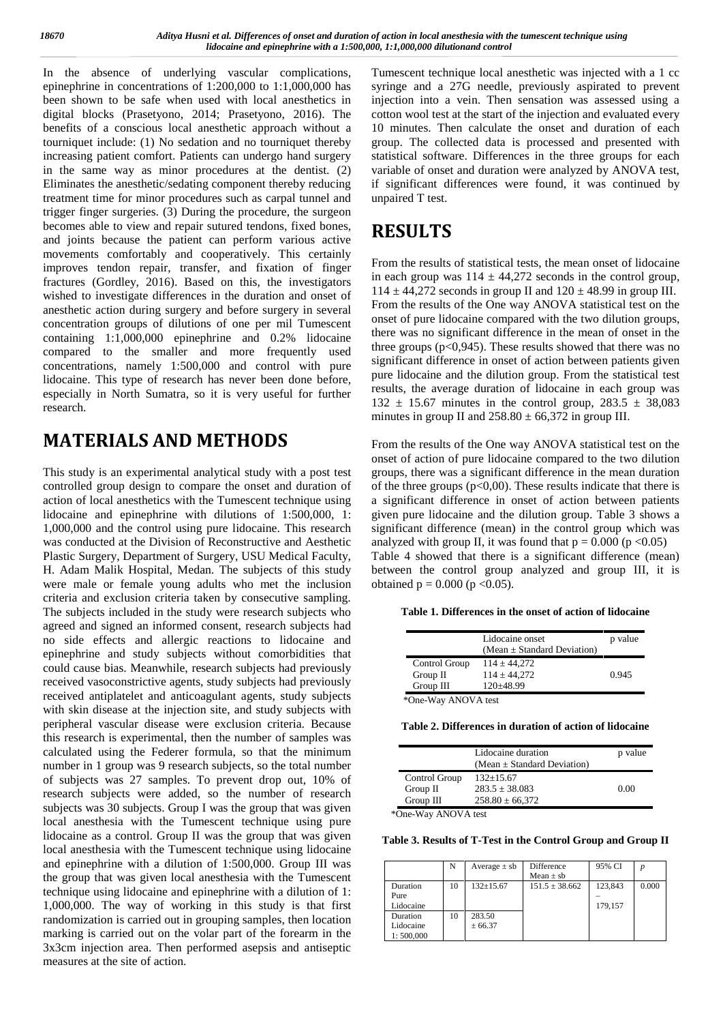In the absence of underlying vascular complications, epinephrine in concentrations of 1:200,000 to 1:1,000,000 has been shown to be safe when used with local anesthetics in digital blocks (Prasetyono, 2014; Prasetyono, 2016). The benefits of a conscious local anesthetic approach without a tourniquet include: (1) No sedation and no tourniquet thereby increasing patient comfort. Patients can undergo hand surgery in the same way as minor procedures at the dentist. (2) Eliminates the anesthetic/sedating component thereby reducing treatment time for minor procedures such as carpal tunnel and trigger finger surgeries. (3) During the procedure, the surgeon becomes able to view and repair sutured tendons, fixed bones, and joints because the patient can perform various active movements comfortably and cooperatively. This certainly improves tendon repair, transfer, and fixation of finger fractures (Gordley, 2016). Based on this, the investigators wished to investigate differences in the duration and onset of anesthetic action during surgery and before surgery in several concentration groups of dilutions of one per mil Tumescent containing 1:1,000,000 epinephrine and 0.2% lidocaine compared to the smaller and more frequently used concentrations, namely 1:500,000 and control with pure lidocaine. This type of research has never been done before, especially in North Sumatra, so it is very useful for further research.

## **MATERIALS AND METHODS**

This study is an experimental analytical study with a post test controlled group design to compare the onset and duration of action of local anesthetics with the Tumescent technique using lidocaine and epinephrine with dilutions of 1:500,000, 1: 1,000,000 and the control using pure lidocaine. This research was conducted at the Division of Reconstructive and Aesthetic Plastic Surgery, Department of Surgery, USU Medical Faculty, H. Adam Malik Hospital, Medan. The subjects of this study were male or female young adults who met the inclusion criteria and exclusion criteria taken by consecutive sampling. The subjects included in the study were research subjects who agreed and signed an informed consent, research subjects had no side effects and allergic reactions to lidocaine and epinephrine and study subjects without comorbidities that could cause bias. Meanwhile, research subjects had previously received vasoconstrictive agents, study subjects had previously received antiplatelet and anticoagulant agents, study subjects with skin disease at the injection site, and study subjects with peripheral vascular disease were exclusion criteria. Because this research is experimental, then the number of samples was calculated using the Federer formula, so that the minimum number in 1 group was 9 research subjects, so the total number of subjects was 27 samples. To prevent drop out, 10% of research subjects were added, so the number of research subjects was 30 subjects. Group I was the group that was given local anesthesia with the Tumescent technique using pure lidocaine as a control. Group II was the group that was given local anesthesia with the Tumescent technique using lidocaine and epinephrine with a dilution of 1:500,000. Group III was the group that was given local anesthesia with the Tumescent technique using lidocaine and epinephrine with a dilution of 1: 1,000,000. The way of working in this study is that first randomization is carried out in grouping samples, then location marking is carried out on the volar part of the forearm in the 3x3cm injection area. Then performed asepsis and antiseptic measures at the site of action.

Tumescent technique local anesthetic was injected with a 1 cc syringe and a 27G needle, previously aspirated to prevent injection into a vein. Then sensation was assessed using a cotton wool test at the start of the injection and evaluated every 10 minutes. Then calculate the onset and duration of each group. The collected data is processed and presented with statistical software. Differences in the three groups for each variable of onset and duration were analyzed by ANOVA test, if significant differences were found, it was continued by unpaired T test.

# **RESULTS**

From the results of statistical tests, the mean onset of lidocaine in each group was  $114 \pm 44,272$  seconds in the control group,  $114 \pm 44,272$  seconds in group II and  $120 \pm 48.99$  in group III. From the results of the One way ANOVA statistical test on the onset of pure lidocaine compared with the two dilution groups, there was no significant difference in the mean of onset in the three groups  $(p<0.945)$ . These results showed that there was no significant difference in onset of action between patients given pure lidocaine and the dilution group. From the statistical test results, the average duration of lidocaine in each group was  $132 \pm 15.67$  minutes in the control group,  $283.5 \pm 38,083$ minutes in group II and  $258.80 \pm 66,372$  in group III.

From the results of the One way ANOVA statistical test on the onset of action of pure lidocaine compared to the two dilution groups, there was a significant difference in the mean duration of the three groups ( $p \le 0.00$ ). These results indicate that there is a significant difference in onset of action between patients given pure lidocaine and the dilution group. Table 3 shows a significant difference (mean) in the control group which was analyzed with group II, it was found that  $p = 0.000$  ( $p < 0.05$ ) Table 4 showed that there is a significant difference (mean) between the control group analyzed and group III, it is obtained  $p = 0.000$  ( $p < 0.05$ ).

**Table 1. Differences in the onset of action of lidocaine**

|               | Lidocaine onset<br>(Mean $\pm$ Standard Deviation) | p value |
|---------------|----------------------------------------------------|---------|
| Control Group | $114 \pm 44.272$                                   |         |
| Group $\Pi$   | $114 \pm 44.272$                                   | 0.945   |
| Group III     | $120\pm 48.99$                                     |         |

\*One-Way ANOVA test

| Table 2. Differences in duration of action of lidocaine |  |
|---------------------------------------------------------|--|
|---------------------------------------------------------|--|

|               | Lidocaine duration              | p value |  |
|---------------|---------------------------------|---------|--|
|               | (Mean $\pm$ Standard Deviation) |         |  |
| Control Group | $132 \pm 15.67$                 |         |  |
| Group II      | $283.5 \pm 38.083$              | 0.00    |  |
| Group III     | $258.80 \pm 66,372$             |         |  |

One-Way ANOVA test

**Table 3. Results of T-Test in the Control Group and Group II**

|                                    | N  | Average $\pm$ sb  | <b>Difference</b><br>$Mean + sb$ | 95% CI             | n     |
|------------------------------------|----|-------------------|----------------------------------|--------------------|-------|
| Duration<br>Pure<br>Lidocaine      | 10 | $132+15.67$       | $151.5 \pm 38.662$               | 123,843<br>179,157 | 0.000 |
| Duration<br>Lidocaine<br>1:500,000 | 10 | 283.50<br>± 66.37 |                                  |                    |       |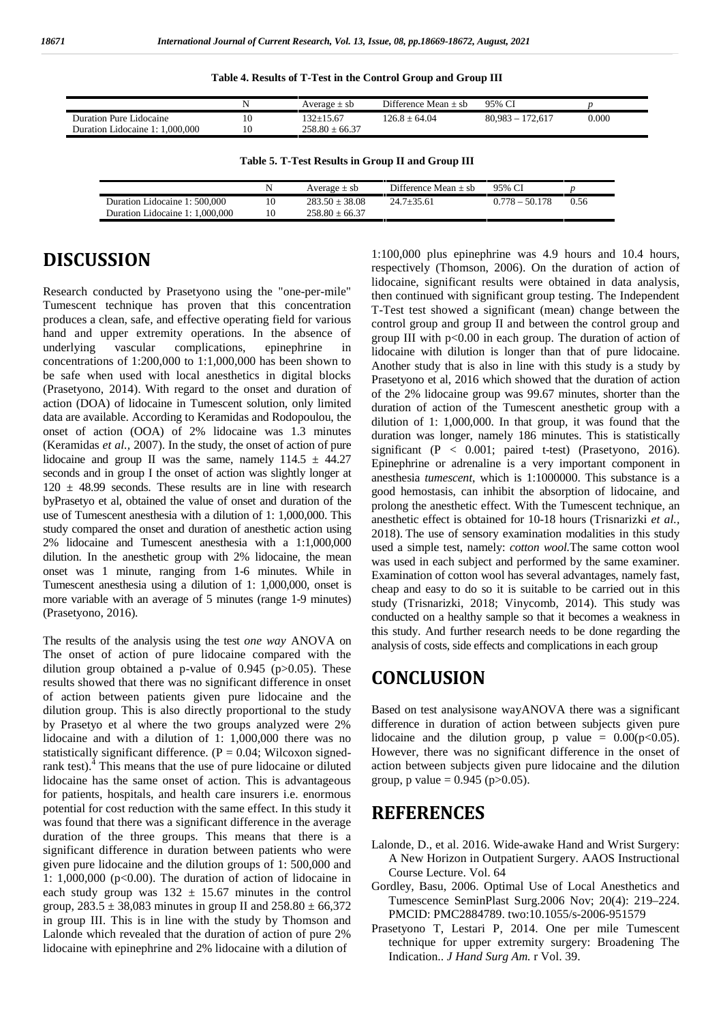| Table 4. Results of T-Test in the Control Group and Group III |  |
|---------------------------------------------------------------|--|
|---------------------------------------------------------------|--|

|                                 |    | Average $\pm$ sb | Difference Mean $+$ sh | 95% CI                |       |
|---------------------------------|----|------------------|------------------------|-----------------------|-------|
| <b>Duration Pure Lidocaine</b>  | 10 | 132+15.67        | $126.8 \pm 64.04$      | $80.983 -$<br>172.617 | 0.000 |
| Duration Lidocaine 1: 1.000.000 | 10 | $258.80 + 66.37$ |                        |                       |       |

#### **Table 5. T-Test Results in Group II and Group III**

|                                 |    | Average $\pm$ sb | Difference Mean $+$ sh | 95% CI           |      |
|---------------------------------|----|------------------|------------------------|------------------|------|
| Duration Lidocaine 1: 500,000   | 10 | $283.50 + 38.08$ | $24.7+35.61$           | $0.778 - 50.178$ | 0.56 |
| Duration Lidocaine 1: 1.000.000 | 10 | $258.80 + 66.37$ |                        |                  |      |

### **DISCUSSION**

Research conducted by Prasetyono using the "one-per-mile" Tumescent technique has proven that this concentration produces a clean, safe, and effective operating field for various hand and upper extremity operations. In the absence of underlying vascular complications, epinephrine in concentrations of 1:200,000 to 1:1,000,000 has been shown to be safe when used with local anesthetics in digital blocks (Prasetyono, 2014). With regard to the onset and duration of action (DOA) of lidocaine in Tumescent solution, only limited data are available. According to Keramidas and Rodopoulou, the onset of action (OOA) of 2% lidocaine was 1.3 minutes (Keramidas *et al.,* 2007). In the study, the onset of action of pure lidocaine and group II was the same, namely  $114.5 \pm 44.27$ seconds and in group I the onset of action was slightly longer at  $120 \pm 48.99$  seconds. These results are in line with research byPrasetyo et al, obtained the value of onset and duration of the use of Tumescent anesthesia with a dilution of 1: 1,000,000. This study compared the onset and duration of anesthetic action using 2% lidocaine and Tumescent anesthesia with a 1:1,000,000 dilution. In the anesthetic group with 2% lidocaine, the mean onset was 1 minute, ranging from 1-6 minutes. While in Tumescent anesthesia using a dilution of 1: 1,000,000, onset is more variable with an average of 5 minutes (range 1-9 minutes) (Prasetyono, 2016).

The results of the analysis using the test *one way* ANOVA on The onset of action of pure lidocaine compared with the dilution group obtained a p-value of  $0.945$  (p $>0.05$ ). These results showed that there was no significant difference in onset of action between patients given pure lidocaine and the dilution group. This is also directly proportional to the study by Prasetyo et al where the two groups analyzed were 2% lidocaine and with a dilution of 1: 1,000,000 there was no statistically significant difference.  $(P = 0.04$ ; Wilcoxon signedrank test).<sup>4</sup> This means that the use of pure lidocaine or diluted lidocaine has the same onset of action. This is advantageous for patients, hospitals, and health care insurers i.e. enormous potential for cost reduction with the same effect. In this study it was found that there was a significant difference in the average duration of the three groups. This means that there is a significant difference in duration between patients who were given pure lidocaine and the dilution groups of 1: 500,000 and 1:  $1,000,000$  ( $p<0.00$ ). The duration of action of lidocaine in each study group was  $132 \pm 15.67$  minutes in the control group,  $283.5 \pm 38,083$  minutes in group II and  $258.80 \pm 66,372$ in group III. This is in line with the study by Thomson and Lalonde which revealed that the duration of action of pure 2% lidocaine with epinephrine and 2% lidocaine with a dilution of

1:100,000 plus epinephrine was 4.9 hours and 10.4 hours, respectively (Thomson, 2006). On the duration of action of lidocaine, significant results were obtained in data analysis, then continued with significant group testing. The Independent T-Test test showed a significant (mean) change between the control group and group II and between the control group and group III with  $p<0.00$  in each group. The duration of action of lidocaine with dilution is longer than that of pure lidocaine. Another study that is also in line with this study is a study by Prasetyono et al, 2016 which showed that the duration of action of the 2% lidocaine group was 99.67 minutes, shorter than the duration of action of the Tumescent anesthetic group with a dilution of 1: 1,000,000. In that group, it was found that the duration was longer, namely 186 minutes. This is statistically significant (P < 0.001; paired t-test) (Prasetyono, 2016). Epinephrine or adrenaline is a very important component in anesthesia *tumescent*, which is 1:1000000. This substance is a good hemostasis, can inhibit the absorption of lidocaine, and prolong the anesthetic effect. With the Tumescent technique, an anesthetic effect is obtained for 10-18 hours (Trisnarizki *et al.,* 2018). The use of sensory examination modalities in this study used a simple test, namely: *cotton wool.*The same cotton wool was used in each subject and performed by the same examiner. Examination of cotton wool has several advantages, namely fast, cheap and easy to do so it is suitable to be carried out in this study (Trisnarizki, 2018; Vinycomb, 2014). This study was conducted on a healthy sample so that it becomes a weakness in this study. And further research needs to be done regarding the analysis of costs, side effects and complications in each group

### **CONCLUSION**

Based on test analysisone wayANOVA there was a significant difference in duration of action between subjects given pure lidocaine and the dilution group, p value =  $0.00(p<0.05)$ . However, there was no significant difference in the onset of action between subjects given pure lidocaine and the dilution group, p value =  $0.945$  (p $>0.05$ ).

### **REFERENCES**

- Lalonde, D., et al. 2016. Wide-awake Hand and Wrist Surgery: A New Horizon in Outpatient Surgery. AAOS Instructional Course Lecture. Vol. 64
- Gordley, Basu, 2006. Optimal Use of Local Anesthetics and Tumescence SeminPlast Surg.2006 Nov; 20(4): 219–224. PMCID: PMC2884789. two:10.1055/s-2006-951579
- Prasetyono T, Lestari P, 2014. One per mile Tumescent technique for upper extremity surgery: Broadening The Indication.. *J Hand Surg Am.* r Vol. 39.